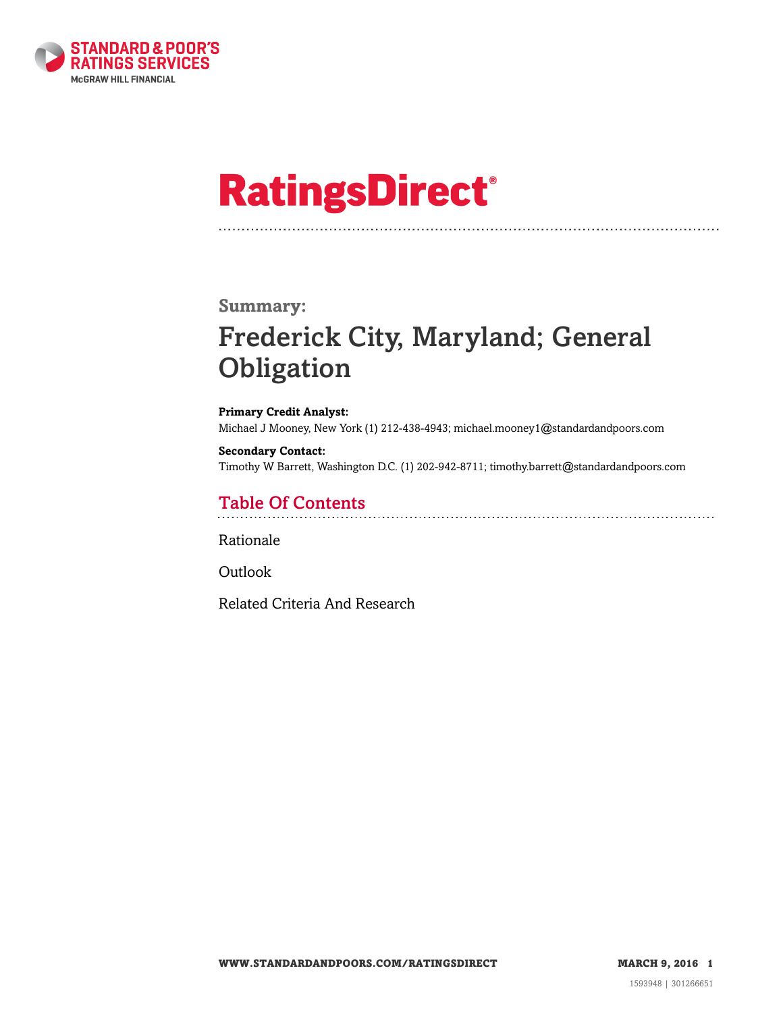

# **RatingsDirect®**

#### **Summary:**

# Frederick City, Maryland; General Obligation

**Primary Credit Analyst:** Michael J Mooney, New York (1) 212-438-4943; michael.mooney1@standardandpoors.com

**Secondary Contact:** Timothy W Barrett, Washington D.C. (1) 202-942-8711; timothy.barrett@standardandpoors.com

### Table Of Contents

[Rationale](#page-1-0)

[Outlook](#page-4-0)

[Related Criteria And Research](#page-4-1)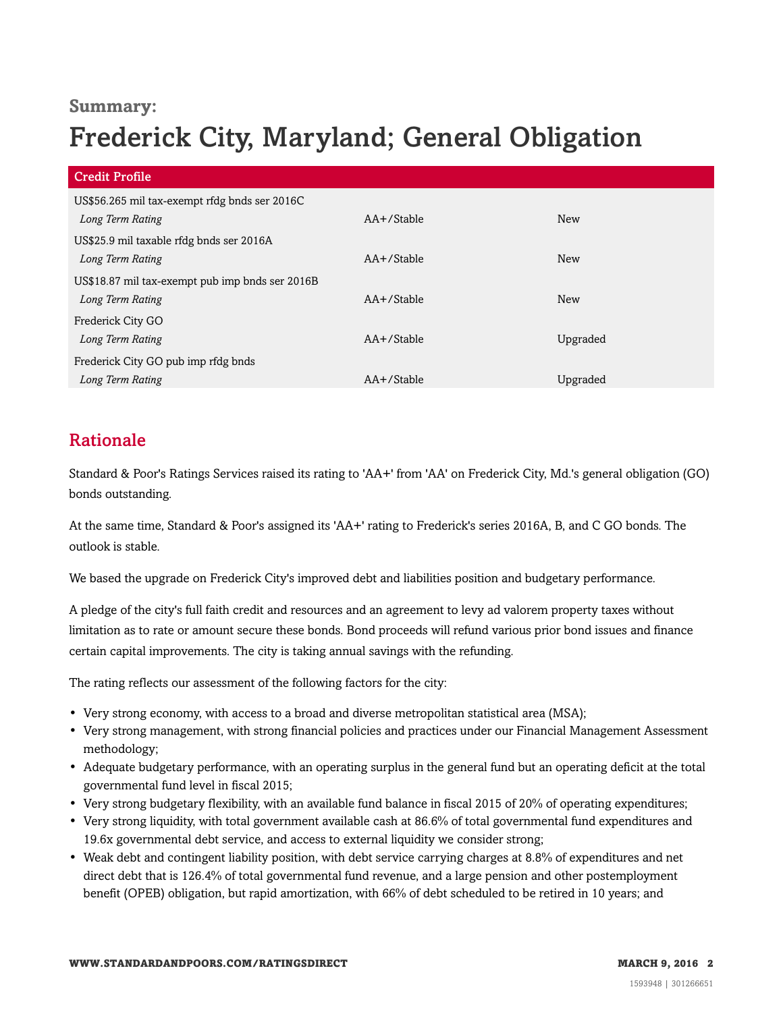### **Summary:**

# Frederick City, Maryland; General Obligation

| <b>Credit Profile</b>                           |               |          |
|-------------------------------------------------|---------------|----------|
| US\$56.265 mil tax-exempt rfdg bnds ser 2016C   |               |          |
| Long Term Rating                                | $AA+$ /Stable | New      |
| US\$25.9 mil taxable rfdg bnds ser 2016A        |               |          |
| Long Term Rating                                | $AA+$ /Stable | New      |
| US\$18.87 mil tax-exempt pub imp bnds ser 2016B |               |          |
| Long Term Rating                                | $AA+$ /Stable | New      |
| Frederick City GO                               |               |          |
| Long Term Rating                                | $AA+$ /Stable | Upgraded |
| Frederick City GO pub imp rfdg bnds             |               |          |
| Long Term Rating                                | AA+/Stable    | Upgraded |

# <span id="page-1-0"></span>Rationale

Standard & Poor's Ratings Services raised its rating to 'AA+' from 'AA' on Frederick City, Md.'s general obligation (GO) bonds outstanding.

At the same time, Standard & Poor's assigned its 'AA+' rating to Frederick's series 2016A, B, and C GO bonds. The outlook is stable.

We based the upgrade on Frederick City's improved debt and liabilities position and budgetary performance.

A pledge of the city's full faith credit and resources and an agreement to levy ad valorem property taxes without limitation as to rate or amount secure these bonds. Bond proceeds will refund various prior bond issues and finance certain capital improvements. The city is taking annual savings with the refunding.

The rating reflects our assessment of the following factors for the city:

- Very strong economy, with access to a broad and diverse metropolitan statistical area (MSA);
- Very strong management, with strong financial policies and practices under our Financial Management Assessment methodology;
- Adequate budgetary performance, with an operating surplus in the general fund but an operating deficit at the total governmental fund level in fiscal 2015;
- Very strong budgetary flexibility, with an available fund balance in fiscal 2015 of 20% of operating expenditures;
- Very strong liquidity, with total government available cash at 86.6% of total governmental fund expenditures and 19.6x governmental debt service, and access to external liquidity we consider strong;
- Weak debt and contingent liability position, with debt service carrying charges at 8.8% of expenditures and net direct debt that is 126.4% of total governmental fund revenue, and a large pension and other postemployment benefit (OPEB) obligation, but rapid amortization, with 66% of debt scheduled to be retired in 10 years; and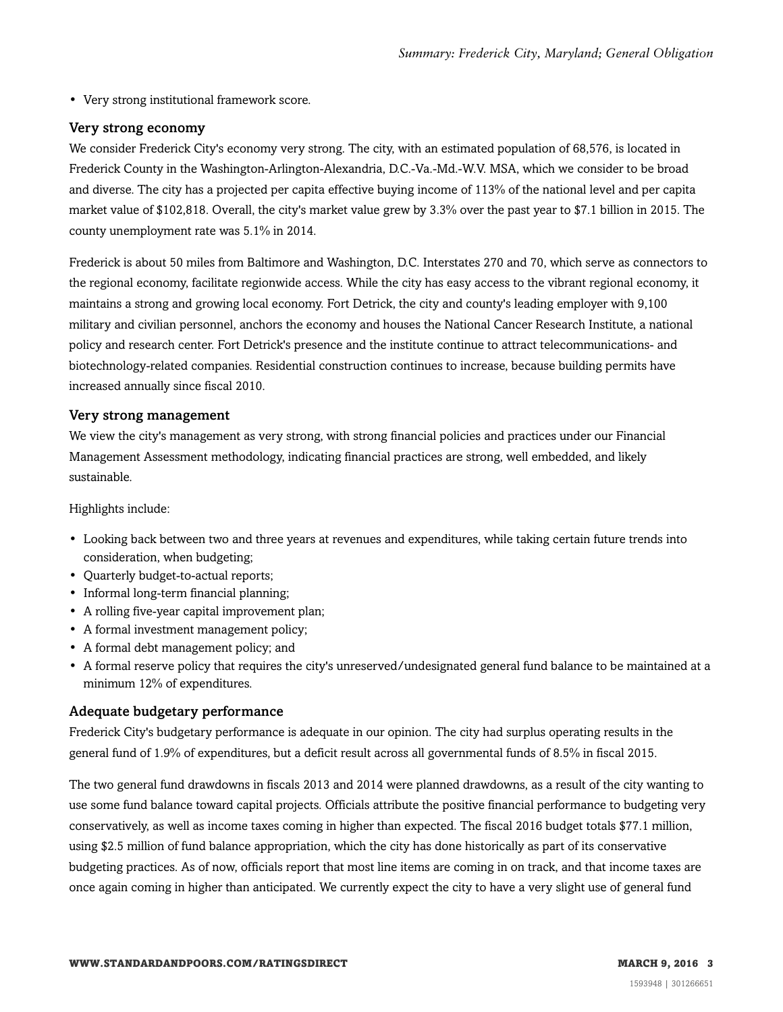• Very strong institutional framework score.

#### Very strong economy

We consider Frederick City's economy very strong. The city, with an estimated population of 68,576, is located in Frederick County in the Washington-Arlington-Alexandria, D.C.-Va.-Md.-W.V. MSA, which we consider to be broad and diverse. The city has a projected per capita effective buying income of 113% of the national level and per capita market value of \$102,818. Overall, the city's market value grew by 3.3% over the past year to \$7.1 billion in 2015. The county unemployment rate was 5.1% in 2014.

Frederick is about 50 miles from Baltimore and Washington, D.C. Interstates 270 and 70, which serve as connectors to the regional economy, facilitate regionwide access. While the city has easy access to the vibrant regional economy, it maintains a strong and growing local economy. Fort Detrick, the city and county's leading employer with 9,100 military and civilian personnel, anchors the economy and houses the National Cancer Research Institute, a national policy and research center. Fort Detrick's presence and the institute continue to attract telecommunications- and biotechnology-related companies. Residential construction continues to increase, because building permits have increased annually since fiscal 2010.

#### Very strong management

We view the city's management as very strong, with strong financial policies and practices under our Financial Management Assessment methodology, indicating financial practices are strong, well embedded, and likely sustainable.

Highlights include:

- Looking back between two and three years at revenues and expenditures, while taking certain future trends into consideration, when budgeting;
- Quarterly budget-to-actual reports;
- Informal long-term financial planning;
- A rolling five-year capital improvement plan;
- A formal investment management policy;
- A formal debt management policy; and
- A formal reserve policy that requires the city's unreserved/undesignated general fund balance to be maintained at a minimum 12% of expenditures.

#### Adequate budgetary performance

Frederick City's budgetary performance is adequate in our opinion. The city had surplus operating results in the general fund of 1.9% of expenditures, but a deficit result across all governmental funds of 8.5% in fiscal 2015.

The two general fund drawdowns in fiscals 2013 and 2014 were planned drawdowns, as a result of the city wanting to use some fund balance toward capital projects. Officials attribute the positive financial performance to budgeting very conservatively, as well as income taxes coming in higher than expected. The fiscal 2016 budget totals \$77.1 million, using \$2.5 million of fund balance appropriation, which the city has done historically as part of its conservative budgeting practices. As of now, officials report that most line items are coming in on track, and that income taxes are once again coming in higher than anticipated. We currently expect the city to have a very slight use of general fund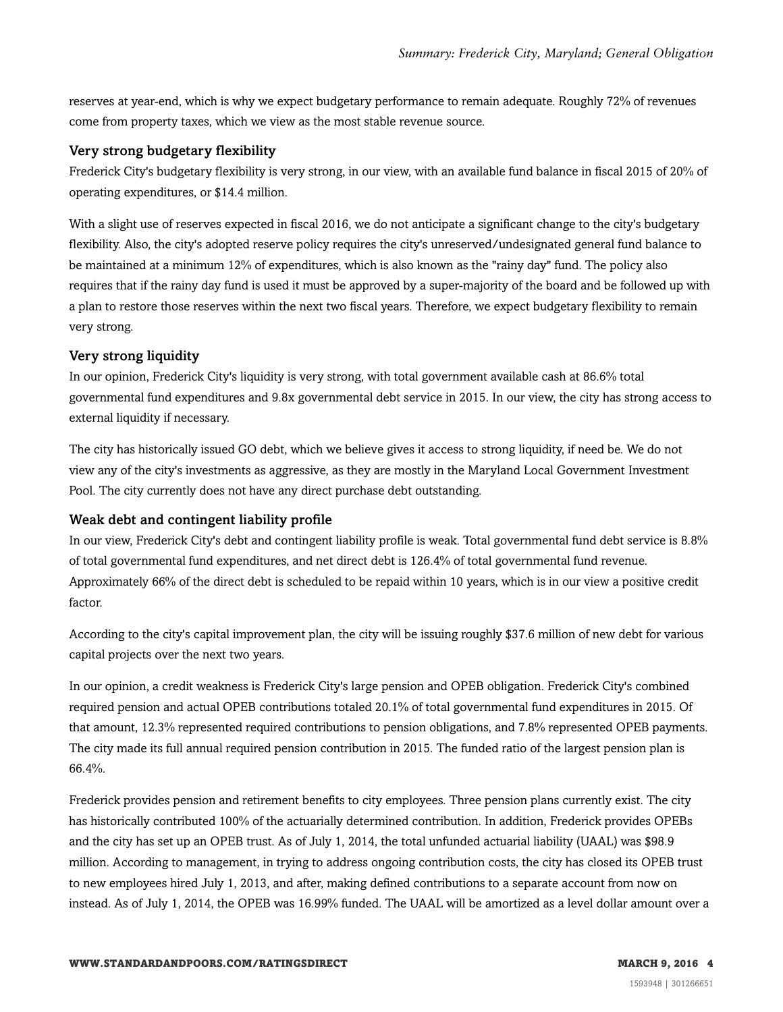reserves at year-end, which is why we expect budgetary performance to remain adequate. Roughly 72% of revenues come from property taxes, which we view as the most stable revenue source.

#### Very strong budgetary flexibility

Frederick City's budgetary flexibility is very strong, in our view, with an available fund balance in fiscal 2015 of 20% of operating expenditures, or \$14.4 million.

With a slight use of reserves expected in fiscal 2016, we do not anticipate a significant change to the city's budgetary flexibility. Also, the city's adopted reserve policy requires the city's unreserved/undesignated general fund balance to be maintained at a minimum 12% of expenditures, which is also known as the "rainy day" fund. The policy also requires that if the rainy day fund is used it must be approved by a super-majority of the board and be followed up with a plan to restore those reserves within the next two fiscal years. Therefore, we expect budgetary flexibility to remain very strong.

#### Very strong liquidity

In our opinion, Frederick City's liquidity is very strong, with total government available cash at 86.6% total governmental fund expenditures and 9.8x governmental debt service in 2015. In our view, the city has strong access to external liquidity if necessary.

The city has historically issued GO debt, which we believe gives it access to strong liquidity, if need be. We do not view any of the city's investments as aggressive, as they are mostly in the Maryland Local Government Investment Pool. The city currently does not have any direct purchase debt outstanding.

#### Weak debt and contingent liability profile

In our view, Frederick City's debt and contingent liability profile is weak. Total governmental fund debt service is 8.8% of total governmental fund expenditures, and net direct debt is 126.4% of total governmental fund revenue. Approximately 66% of the direct debt is scheduled to be repaid within 10 years, which is in our view a positive credit factor.

According to the city's capital improvement plan, the city will be issuing roughly \$37.6 million of new debt for various capital projects over the next two years.

In our opinion, a credit weakness is Frederick City's large pension and OPEB obligation. Frederick City's combined required pension and actual OPEB contributions totaled 20.1% of total governmental fund expenditures in 2015. Of that amount, 12.3% represented required contributions to pension obligations, and 7.8% represented OPEB payments. The city made its full annual required pension contribution in 2015. The funded ratio of the largest pension plan is 66.4%.

Frederick provides pension and retirement benefits to city employees. Three pension plans currently exist. The city has historically contributed 100% of the actuarially determined contribution. In addition, Frederick provides OPEBs and the city has set up an OPEB trust. As of July 1, 2014, the total unfunded actuarial liability (UAAL) was \$98.9 million. According to management, in trying to address ongoing contribution costs, the city has closed its OPEB trust to new employees hired July 1, 2013, and after, making defined contributions to a separate account from now on instead. As of July 1, 2014, the OPEB was 16.99% funded. The UAAL will be amortized as a level dollar amount over a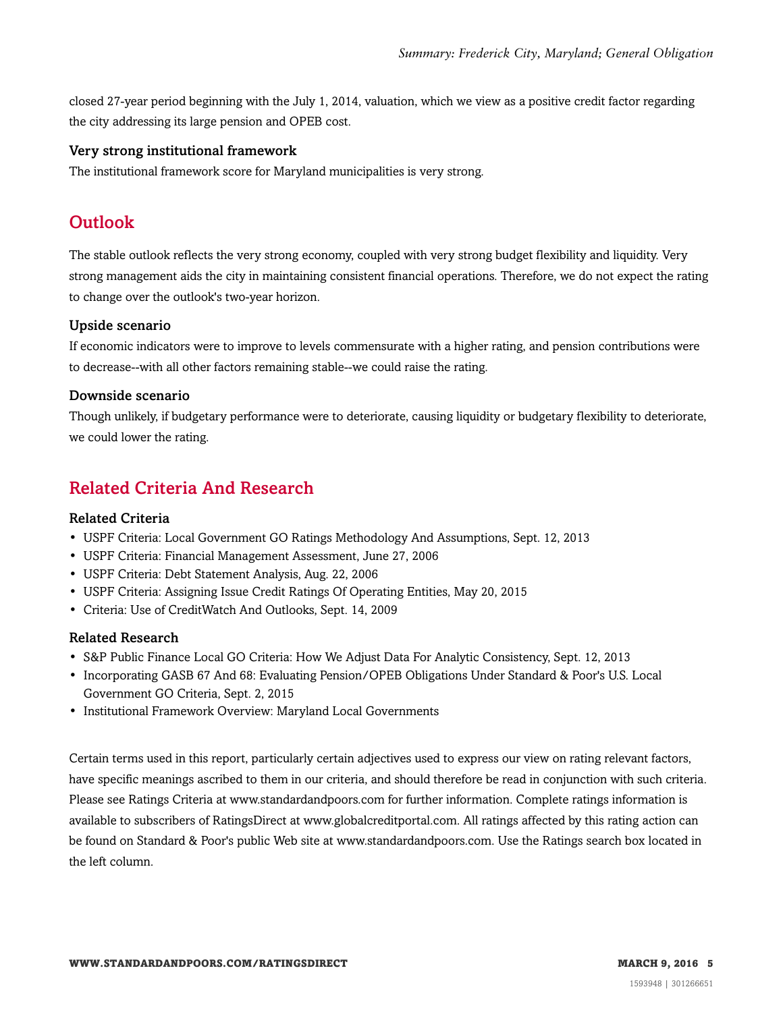closed 27-year period beginning with the July 1, 2014, valuation, which we view as a positive credit factor regarding the city addressing its large pension and OPEB cost.

#### Very strong institutional framework

<span id="page-4-0"></span>The institutional framework score for Maryland municipalities is very strong.

## **Outlook**

The stable outlook reflects the very strong economy, coupled with very strong budget flexibility and liquidity. Very strong management aids the city in maintaining consistent financial operations. Therefore, we do not expect the rating to change over the outlook's two-year horizon.

#### Upside scenario

If economic indicators were to improve to levels commensurate with a higher rating, and pension contributions were to decrease--with all other factors remaining stable--we could raise the rating.

#### Downside scenario

Though unlikely, if budgetary performance were to deteriorate, causing liquidity or budgetary flexibility to deteriorate, we could lower the rating.

# <span id="page-4-1"></span>Related Criteria And Research

#### Related Criteria

- USPF Criteria: Local Government GO Ratings Methodology And Assumptions, Sept. 12, 2013
- USPF Criteria: Financial Management Assessment, June 27, 2006
- USPF Criteria: Debt Statement Analysis, Aug. 22, 2006
- USPF Criteria: Assigning Issue Credit Ratings Of Operating Entities, May 20, 2015
- Criteria: Use of CreditWatch And Outlooks, Sept. 14, 2009

#### Related Research

- S&P Public Finance Local GO Criteria: How We Adjust Data For Analytic Consistency, Sept. 12, 2013
- Incorporating GASB 67 And 68: Evaluating Pension/OPEB Obligations Under Standard & Poor's U.S. Local Government GO Criteria, Sept. 2, 2015
- Institutional Framework Overview: Maryland Local Governments

Certain terms used in this report, particularly certain adjectives used to express our view on rating relevant factors, have specific meanings ascribed to them in our criteria, and should therefore be read in conjunction with such criteria. Please see Ratings Criteria at www.standardandpoors.com for further information. Complete ratings information is available to subscribers of RatingsDirect at www.globalcreditportal.com. All ratings affected by this rating action can be found on Standard & Poor's public Web site at www.standardandpoors.com. Use the Ratings search box located in the left column.